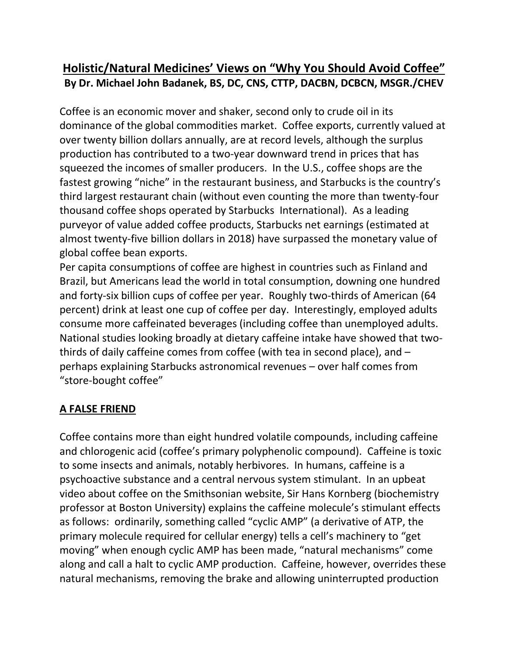# **Holistic/Natural Medicines' Views on "Why You Should Avoid Coffee" By Dr. Michael John Badanek, BS, DC, CNS, CTTP, DACBN, DCBCN, MSGR./CHEV**

Coffee is an economic mover and shaker, second only to crude oil in its dominance of the global commodities market. Coffee exports, currently valued at over twenty billion dollars annually, are at record levels, although the surplus production has contributed to a two-year downward trend in prices that has squeezed the incomes of smaller producers. In the U.S., coffee shops are the fastest growing "niche" in the restaurant business, and Starbucks is the country's third largest restaurant chain (without even counting the more than twenty-four thousand coffee shops operated by Starbucks International). As a leading purveyor of value added coffee products, Starbucks net earnings (estimated at almost twenty-five billion dollars in 2018) have surpassed the monetary value of global coffee bean exports.

Per capita consumptions of coffee are highest in countries such as Finland and Brazil, but Americans lead the world in total consumption, downing one hundred and forty-six billion cups of coffee per year. Roughly two-thirds of American (64 percent) drink at least one cup of coffee per day. Interestingly, employed adults consume more caffeinated beverages (including coffee than unemployed adults. National studies looking broadly at dietary caffeine intake have showed that two thirds of daily caffeine comes from coffee (with tea in second place), and – perhaps explaining Starbucks astronomical revenues – over half comes from "store-bought coffee"

# **A FALSE FRIEND**

Coffee contains more than eight hundred volatile compounds, including caffeine and chlorogenic acid (coffee's primary polyphenolic compound). Caffeine is toxic to some insects and animals, notably herbivores. In humans, caffeine is a psychoactive substance and a central nervous system stimulant. In an upbeat video about coffee on the Smithsonian website, Sir Hans Kornberg (biochemistry professor at Boston University) explains the caffeine molecule's stimulant effects as follows: ordinarily, something called "cyclic AMP" (a derivative of ATP, the primary molecule required for cellular energy) tells a cell's machinery to "get moving" when enough cyclic AMP has been made, "natural mechanisms" come along and call a halt to cyclic AMP production. Caffeine, however, overrides these natural mechanisms, removing the brake and allowing uninterrupted production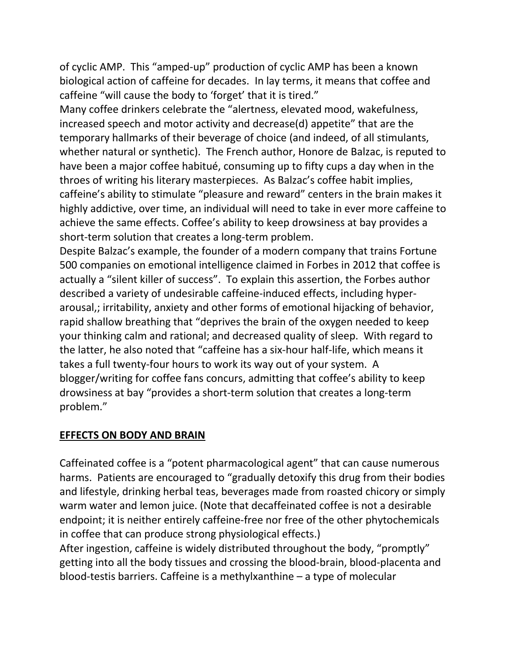of cyclic AMP. This "amped-up" production of cyclic AMP has been a known biological action of caffeine for decades. In layterms, it means that coffee and caffeine "will cause the body to 'forget' that it is tired."

Many coffee drinkers celebrate the "alertness, elevated mood, wakefulness, increased speech and motor activity and decrease(d) appetite" that are the temporary hallmarks of their beverage of choice (and indeed, of all stimulants, whether natural or synthetic). The French author, Honore de Balzac, is reputed to have been a major coffee habitué, consuming up to fifty cups a day when in the throes of writing his literary masterpieces. As Balzac's coffee habit implies, caffeine's ability to stimulate "pleasure and reward" centers in the brain makes it highly addictive, over time, an individual will need to take in ever more caffeine to achieve the same effects. Coffee's ability to keep drowsiness at bay provides a short-term solution that creates a long-term problem.

Despite Balzac's example, the founder of a modern company that trains Fortune 500 companies on emotional intelligence claimed in Forbes in 2012 that coffee is actually a "silent killer of success". To explain this assertion, the Forbes author described a variety of undesirable caffeine-induced effects, including hyper arousal,; irritability, anxiety and other forms of emotional hijacking of behavior, rapid shallow breathing that "deprives the brain of the oxygen needed to keep your thinking calm and rational; and decreased quality of sleep. With regard to the latter, he also noted that "caffeine has a six-hour half-life, which means it takes a full twenty-four hours to work its way out of your system. A blogger/writing for coffee fans concurs, admitting that coffee's ability to keep drowsiness at bay "provides a short-term solution that creates a long-term problem."

#### **EFFECTS ON BODY AND BRAIN**

Caffeinated coffee is a "potent pharmacological agent" that can cause numerous harms. Patients are encouraged to "gradually detoxify this drug from their bodies and lifestyle, drinking herbal teas, beverages made from roasted chicory or simply warm water and lemon juice.(Note that decaffeinated coffee is not a desirable endpoint; it is neither entirely caffeine-free nor free of the other phytochemicals in coffee that can produce strong physiological effects.)

After ingestion, caffeine is widely distributed throughout the body, "promptly" getting into all the body tissues and crossing the blood-brain, blood-placenta and blood-testis barriers. Caffeine is a methylxanthine – a type of molecular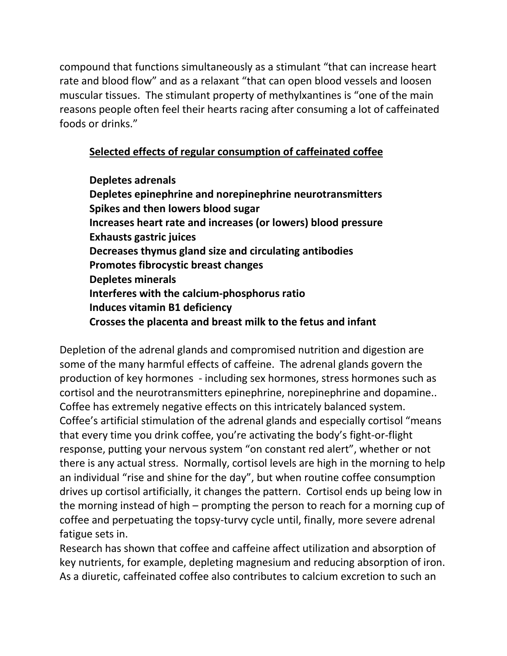compound that functions simultaneously as a stimulant "that can increase heart rate and blood flow" and as a relaxant "that can open blood vessels and loosen muscular tissues. The stimulant property of methylxantines is "one of the main reasons people often feel their hearts racing after consuming a lot of caffeinated foods or drinks."

## **Selected effects of regular consumption of caffeinated coffee**

**Depletes adrenals Depletes epinephrine and norepinephrine neurotransmitters Spikes and then lowers blood sugar Increases heart rate and increases (or lowers) blood pressure Exhausts gastric juices Decreases thymus gland size and circulating antibodies Promotes fibrocystic breast changes Depletes minerals Interferes with the calcium-phosphorus ratio Induces vitamin B1 deficiency Crosses the placenta and breast milk to the fetus and infant**

Depletion of the adrenal glands and compromised nutrition and digestion are some of the many harmful effects of caffeine. The adrenal glands govern the production of key hormones - including sex hormones, stress hormones such as cortisol and the neurotransmitters epinephrine, norepinephrine and dopamine.. Coffee has extremely negative effects on this intricately balanced system. Coffee's artificial stimulation of the adrenal glands and especially cortisol "means that every time you drink coffee, you're activating the body's fight-or-flight response, putting your nervous system "on constant red alert", whether or not there is any actual stress. Normally, cortisol levels are high in the morning to help an individual "rise and shine for the day", but when routine coffee consumption drives up cortisol artificially, it changes the pattern. Cortisol ends up being low in the morning instead of high – prompting the person to reach for a morning cup of coffee and perpetuating the topsy-turvy cycle until, finally, more severe adrenal fatigue sets in.

Research has shown that coffee and caffeine affect utilization and absorption of key nutrients, for example, depleting magnesium and reducing absorption of iron. As a diuretic, caffeinated coffee also contributes to calcium excretion to such an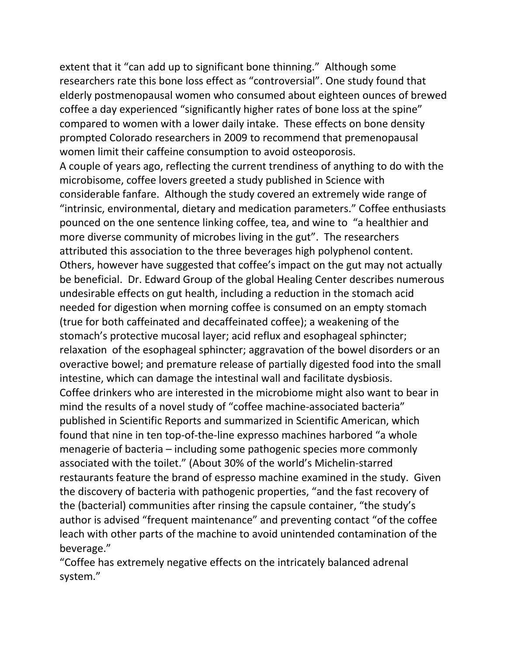extent that it "can add up to significant bone thinning." Although some researchers rate this bone loss effect as "controversial". One study found that elderly postmenopausal women who consumed about eighteen ounces of brewed coffee a day experienced "significantly higher rates of bone loss at the spine" compared to women with a lower daily intake. These effects on bone density prompted Colorado researchers in 2009 to recommend that premenopausal women limit their caffeine consumption to avoid osteoporosis. A couple of years ago, reflecting the current trendiness of anything to do with the microbisome, coffee lovers greeted a study published in Science with considerable fanfare. Although the study covered an extremely wide range of "intrinsic, environmental, dietary and medication parameters." Coffee enthusiasts pounced on the one sentence linking coffee, tea, and wine to "a healthier and more diverse community of microbes living in the gut". The researchers attributed this association to the three beverages high polyphenol content. Others, however have suggested that coffee's impact on the gut may not actually be beneficial. Dr. Edward Group of the global Healing Center describes numerous undesirable effects on gut health, including a reduction in the stomach acid needed for digestion when morning coffee is consumed on an empty stomach (true for both caffeinated and decaffeinated coffee); a weakening of the stomach's protective mucosal layer; acid reflux and esophageal sphincter; relaxation of the esophageal sphincter; aggravation of the bowel disorders or an overactive bowel; and premature release of partially digested food into the small intestine, which can damage the intestinal wall and facilitate dysbiosis. Coffee drinkers who are interested in the microbiome might also want to bear in mind the results of a novel study of "coffee machine-associated bacteria" published in Scientific Reports and summarized in Scientific American, which found that nine in ten top-of-the-line expresso machines harbored "a whole menagerie of bacteria – including some pathogenic species more commonly associated with the toilet." (About 30% of the world's Michelin-starred restaurants feature the brand of espresso machine examined in the study. Given the discovery of bacteria with pathogenic properties, "and the fast recovery of the (bacterial) communities after rinsing the capsule container, "the study's author is advised "frequent maintenance" and preventing contact "of the coffee leach with other parts of the machine to avoid unintended contamination of the beverage."

"Coffee has extremely negative effects on the intricately balanced adrenal system."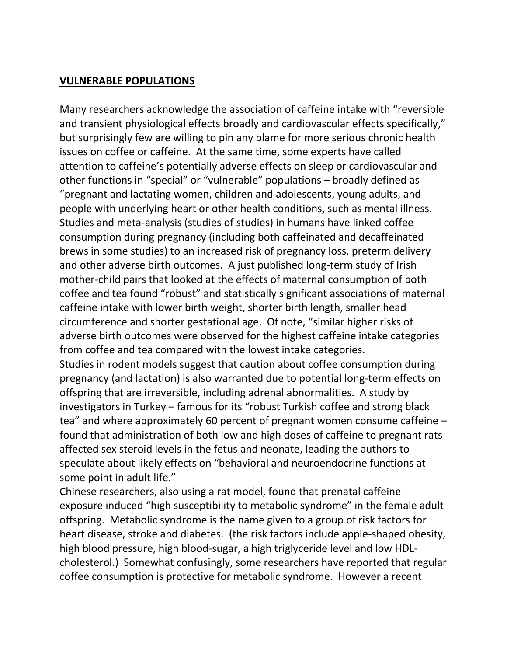#### **VULNERABLE POPULATIONS**

Many researchers acknowledge the association of caffeine intake with "reversible and transient physiological effects broadly and cardiovascular effects specifically," but surprisingly few are willing to pin any blame for more serious chronic health issues on coffee or caffeine. At the same time, some experts have called attention to caffeine's potentially adverse effects on sleep or cardiovascular and other functions in "special" or "vulnerable" populations – broadly defined as "pregnant and lactating women, children and adolescents, young adults, and people with underlying heart or other health conditions, such as mental illness. Studies and meta-analysis (studies of studies) in humans have linked coffee consumption during pregnancy (including both caffeinated and decaffeinated brews in some studies) to an increased risk of pregnancy loss, preterm delivery and other adverse birth outcomes. A just published long-term study of Irish mother-child pairs that looked at the effects of maternal consumption of both coffee and tea found "robust" and statistically significant associations of maternal caffeine intake with lower birth weight, shorter birth length, smaller head circumference and shorter gestational age. Of note, "similar higher risks of adverse birth outcomes were observed for the highest caffeine intake categories from coffee and tea compared with the lowest intake categories.<br>Studies in rodent models suggest that caution about coffee consumption during

pregnancy (and lactation) is also warranted due to potential long-term effects on offspring that are irreversible, including adrenal abnormalities. A study by investigators in Turkey – famous for its "robust Turkish coffee and strong black tea" and where approximately 60 percent of pregnant women consume caffeine – found that administration of both low and high doses of caffeine to pregnant rats affected sex steroid levels in the fetus and neonate, leading the authors to speculate about likely effects on "behavioral and neuroendocrine functions at some point in adult life."

Chinese researchers, also using a rat model, found that prenatal caffeine exposure induced "high susceptibility to metabolic syndrome" in the female adult offspring. Metabolic syndrome is the name given to a group of risk factors for heart disease, stroke and diabetes. (the risk factors include apple-shaped obesity, high blood pressure, high blood-sugar, a high triglyceride level and low HDL cholesterol.) Somewhat confusingly, some researchers have reported that regular coffee consumption is protective for metabolic syndrome. However a recent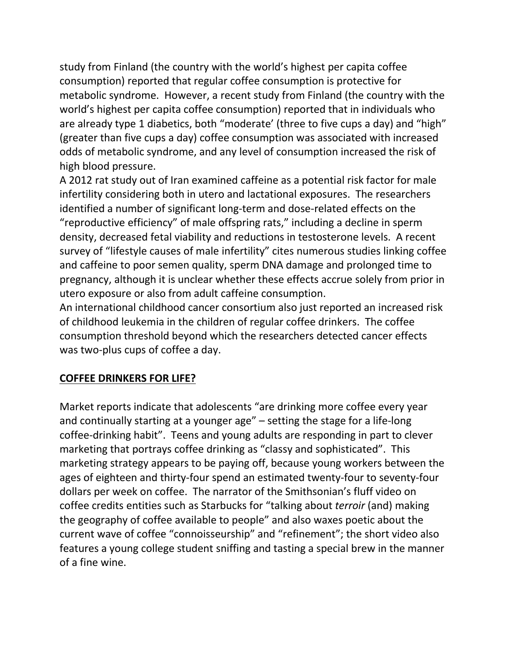study from Finland (the country with the world's highest per capita coffee consumption) reported that regular coffee consumption is protective for metabolic syndrome. However, a recent study from Finland (the country with the world's highest per capita coffee consumption) reported that in individuals who are already type 1 diabetics, both "moderate' (three to five cups a day) and "high" (greater than five cups a day) coffee consumption was associated with increased odds of metabolic syndrome, and any level of consumption increased the risk of high blood pressure.

A 2012 rat study out of Iran examined caffeine as a potential risk factor for male infertility considering both in utero and lactational exposures. The researchers identified a number of significant long-term and dose-related effects on the "reproductive efficiency" of male offspring rats," including a decline in sperm density, decreased fetal viability and reductions in testosterone levels. A recent survey of "lifestyle causes of male infertility" cites numerous studies linking coffee and caffeine to poor semen quality, sperm DNA damage and prolonged time to pregnancy, although it is unclear whether these effects accrue solely from prior in utero exposure or also from adult caffeine consumption.

An international childhood cancer consortium also just reported an increased risk of childhood leukemia in the children of regular coffee drinkers. The coffee consumption threshold beyond which the researchers detected cancer effects was two-plus cups of coffee a day.

### **COFFEE DRINKERS FOR LIFE?**

Market reports indicate that adolescents "are drinking more coffee every year and continually starting at a younger age" – setting the stage for a life-long coffee-drinking habit". Teens and young adults are responding in part to clever marketing that portrays coffee drinking as "classy and sophisticated". This marketing strategy appears to be paying off, because young workers between the ages of eighteen and thirty-four spend an estimated twenty-four to seventy-four dollars per week on coffee. The narrator of the Smithsonian's fluff video on coffee credits entities such as Starbucks for "talking about*terroir* (and) making the geography of coffee available to people" and also waxes poetic about the current wave of coffee "connoisseurship" and "refinement"; the short video also features a young college student sniffing and tasting a special brew in the manner of a fine wine.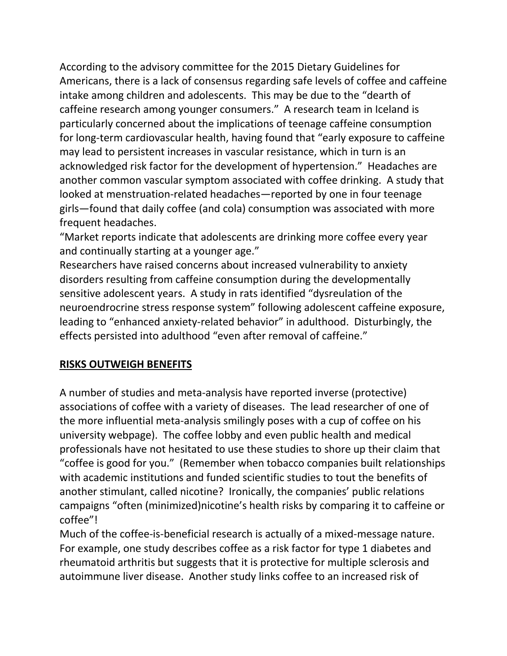According to the advisory committee for the 2015 Dietary Guidelines for Americans, there is a lack of consensus regarding safe levels of coffee and caffeine intake among children and adolescents. This may be due to the "dearth of caffeine research among younger consumers." A research team in Iceland is particularly concerned about the implications of teenage caffeine consumption for long-term cardiovascular health, having found that "early exposure to caffeine may lead to persistent increases in vascular resistance, which in turn is an acknowledged risk factor for the development of hypertension." Headaches are another common vascular symptom associated with coffee drinking. A study that looked at menstruation-related headaches—reported by one in four teenage girls—found that daily coffee (and cola) consumption was associated with more frequent headaches.

"Market reports indicate that adolescents are drinking more coffee every year and continually starting at a younger age."

Researchers have raised concerns about increased vulnerability to anxiety disorders resulting from caffeine consumption during the developmentally sensitive adolescent years. A study in rats identified "dysreulation of the neuroendrocrine stress response system" following adolescent caffeine exposure, leading to "enhanced anxiety-related behavior" in adulthood. Disturbingly, the effects persisted into adulthood "even after removal of caffeine."

#### **RISKS OUTWEIGH BENEFITS**

A number of studies and meta-analysis have reported inverse (protective) associations of coffee with a variety of diseases. The lead researcher of one of the more influential meta-analysis smilingly poses with a cup of coffee on his university webpage). The coffee lobby and even public health and medical professionals have not hesitated to use these studies to shore up their claim that "coffee is good for you." (Remember when tobacco companies built relationships with academic institutions and funded scientific studies to tout the benefits of another stimulant, called nicotine? Ironically, the companies' public relations campaigns "often (minimized)nicotine's health risks by comparing it to caffeine or coffee"!

Much of the coffee-is-beneficial research is actually of a mixed-message nature. For example, one study describes coffee as a risk factor for type 1 diabetes and rheumatoid arthritis but suggests that it is protective for multiple sclerosis and autoimmune liver disease. Another study links coffee to an increased risk of